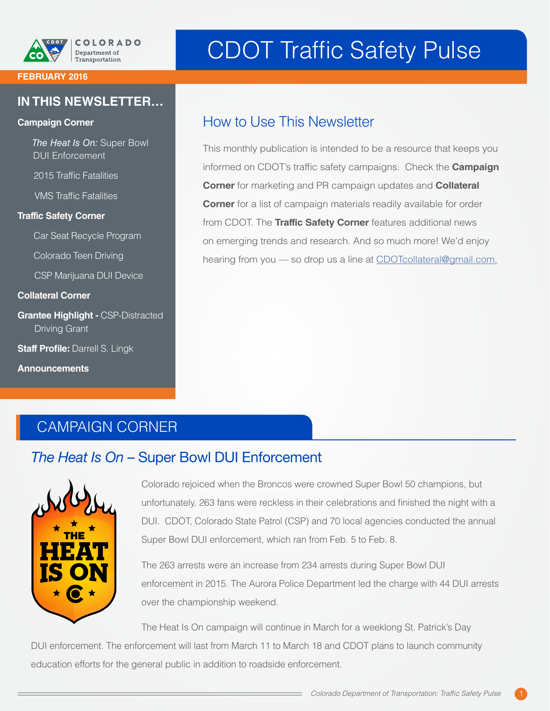

#### **FEBRUARY 2016**

#### **IN THIS NEWSLETTER…**

#### **Campaign Corner**

 *The Heat Is On:* Super Bowl DUI Enforcement

2015 Traffic Fatalities

VMS Traffic Fatalities

#### **Traffic Safety Corner**

Car Seat Recycle Program

Colorado Teen Driving

CSP Marijuana DUI Device

**Collateral Corner**

**Grantee Highlight -** CSP-Distracted **Driving Grant** 

**Staff Profile: Darrell S. Lingk** 

**Announcements**

# CAMPAIGN CORNER

#### *The Heat Is On* – Super Bowl DUI Enforcement



Colorado rejoiced when the Broncos were crowned Super Bowl 50 champions, but unfortunately, 263 fans were reckless in their celebrations and finished the night with a DUI. CDOT, Colorado State Patrol (CSP) and 70 local agencies conducted the annual Super Bowl DUI enforcement, which ran from Feb. 5 to Feb. 8.

The 263 arrests were an increase from 234 arrests during Super Bowl DUI enforcement in 2015. The Aurora Police Department led the charge with 44 DUI arrests over the championship weekend.

The Heat Is On campaign will continue in March for a weeklong St. Patrick's Day

DUI enforcement. The enforcement will last from March 11 to March 18 and CDOT plans to launch community education efforts for the general public in addition to roadside enforcement.

# CDOT Traffic Safety Pulse

## How to Use This Newsletter

This monthly publication is intended to be a resource that keeps you informed on CDOT's traffic safety campaigns. Check the **Campaign Corner** for marketing and PR campaign updates and **Collateral Corner** for a list of campaign materials readily available for order from CDOT. The **Traffic Safety Corner** features additional news on emerging trends and research. And so much more! We'd enjoy hearing from you - so drop us a line at [CDOTcollateral@gmail.com.](mailto:CDOTcollateral@gmail.com)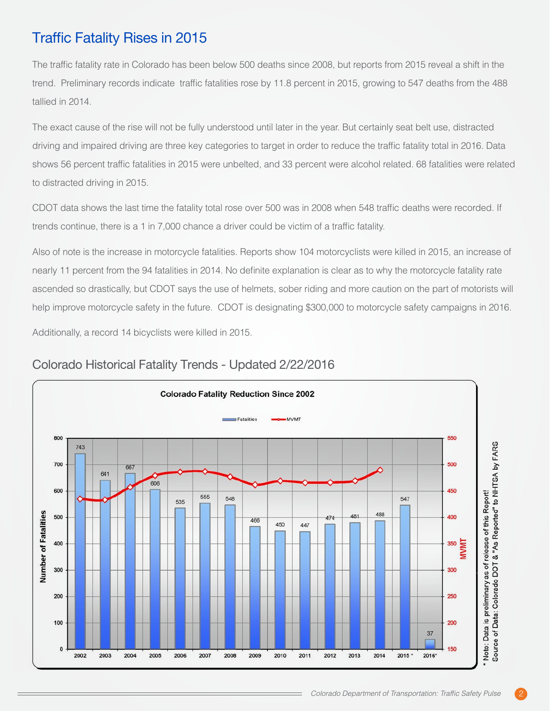## Traffic Fatality Rises in 2015

The traffic fatality rate in Colorado has been below 500 deaths since 2008, but reports from 2015 reveal a shift in the trend. Preliminary records indicate traffic fatalities rose by 11.8 percent in 2015, growing to 547 deaths from the 488 tallied in 2014.

The exact cause of the rise will not be fully understood until later in the year. But certainly seat belt use, distracted driving and impaired driving are three key categories to target in order to reduce the traffic fatality total in 2016. Data shows 56 percent traffic fatalities in 2015 were unbelted, and 33 percent were alcohol related. 68 fatalities were related to distracted driving in 2015.

CDOT data shows the last time the fatality total rose over 500 was in 2008 when 548 traffic deaths were recorded. If trends continue, there is a 1 in 7,000 chance a driver could be victim of a traffic fatality.

Also of note is the increase in motorcycle fatalities. Reports show 104 motorcyclists were killed in 2015, an increase of nearly 11 percent from the 94 fatalities in 2014. No definite explanation is clear as to why the motorcycle fatality rate ascended so drastically, but CDOT says the use of helmets, sober riding and more caution on the part of motorists will help improve motorcycle safety in the future. CDOT is designating \$300,000 to motorcycle safety campaigns in 2016.

Additionally, a record 14 bicyclists were killed in 2015.



#### Colorado Historical Fatality Trends - Updated 2/22/2016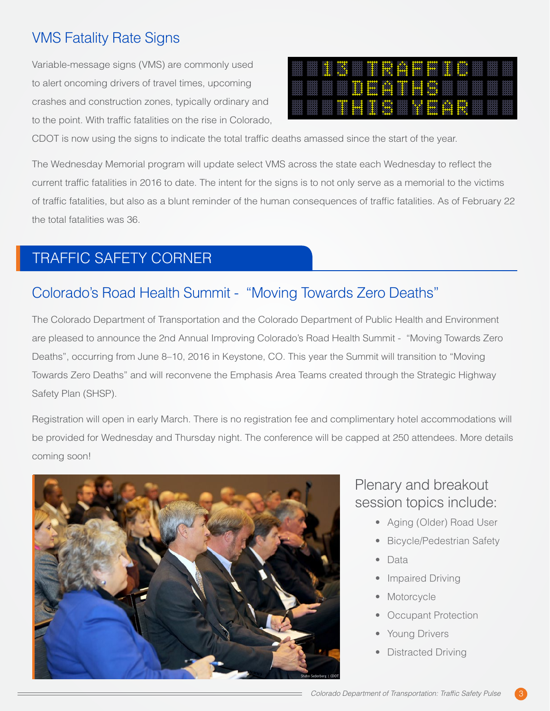## VMS Fatality Rate Signs

Variable-message signs (VMS) are commonly used to alert oncoming drivers of travel times, upcoming crashes and construction zones, typically ordinary and to the point. With traffic fatalities on the rise in Colorado,

CDOT is now using the signs to indicate the total traffic deaths amassed since the start of the year.

The Wednesday Memorial program will update select VMS across the state each Wednesday to reflect the current traffic fatalities in 2016 to date. The intent for the signs is to not only serve as a memorial to the victims of traffic fatalities, but also as a blunt reminder of the human consequences of traffic fatalities. As of February 22 the total fatalities was 36.

## TRAFFIC SAFETY CORNER

## Colorado's Road Health Summit - "Moving Towards Zero Deaths"

The Colorado Department of Transportation and the Colorado Department of Public Health and Environment are pleased to announce the 2nd Annual Improving Colorado's Road Health Summit - "Moving Towards Zero Deaths", occurring from June 8–10, 2016 in Keystone, CO. This year the Summit will transition to "Moving Towards Zero Deaths" and will reconvene the Emphasis Area Teams created through the Strategic Highway Safety Plan (SHSP).

Registration will open in early March. There is no registration fee and complimentary hotel accommodations will be provided for Wednesday and Thursday night. The conference will be capped at 250 attendees. More details coming soon!



#### Plenary and breakout session topics include:

- Aging (Older) Road User
- Bicycle/Pedestrian Safety
- Data
- **Impaired Driving**
- **Motorcycle**
- **Occupant Protection**
- Young Drivers
- Distracted Driving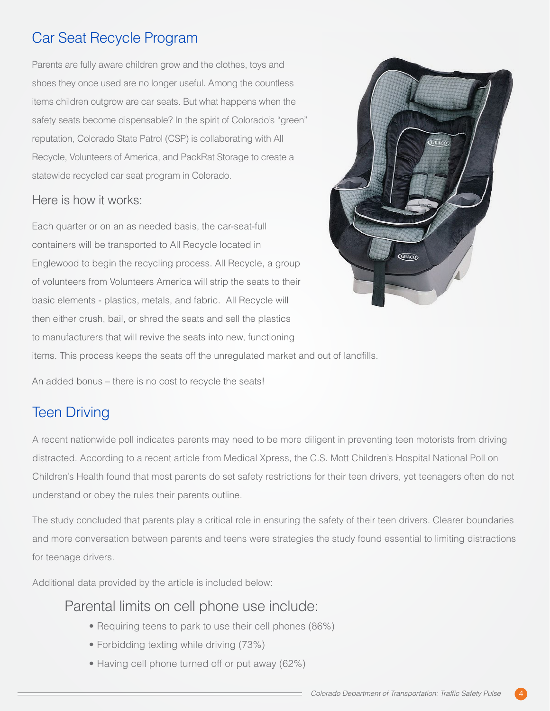## Car Seat Recycle Program

Parents are fully aware children grow and the clothes, toys and shoes they once used are no longer useful. Among the countless items children outgrow are car seats. But what happens when the safety seats become dispensable? In the spirit of Colorado's "green" reputation, Colorado State Patrol (CSP) is collaborating with All Recycle, Volunteers of America, and PackRat Storage to create a statewide recycled car seat program in Colorado.

#### Here is how it works:

Each quarter or on an as needed basis, the car-seat-full containers will be transported to All Recycle located in Englewood to begin the recycling process. All Recycle, a group of volunteers from Volunteers America will strip the seats to their basic elements - plastics, metals, and fabric. All Recycle will then either crush, bail, or shred the seats and sell the plastics to manufacturers that will revive the seats into new, functioning items. This process keeps the seats off the unregulated market and out of landfills.



An added bonus – there is no cost to recycle the seats!

## Teen Driving

A recent nationwide poll indicates parents may need to be more diligent in preventing teen motorists from driving distracted. According to a recent article from Medical Xpress, the C.S. Mott Children's Hospital National Poll on Children's Health found that most parents do set safety restrictions for their teen drivers, yet teenagers often do not understand or obey the rules their parents outline.

The study concluded that parents play a critical role in ensuring the safety of their teen drivers. Clearer boundaries and more conversation between parents and teens were strategies the study found essential to limiting distractions for teenage drivers.

Additional data provided by the article is included below:

#### Parental limits on cell phone use include:

- Requiring teens to park to use their cell phones (86%)
- Forbidding texting while driving (73%)
- Having cell phone turned off or put away (62%)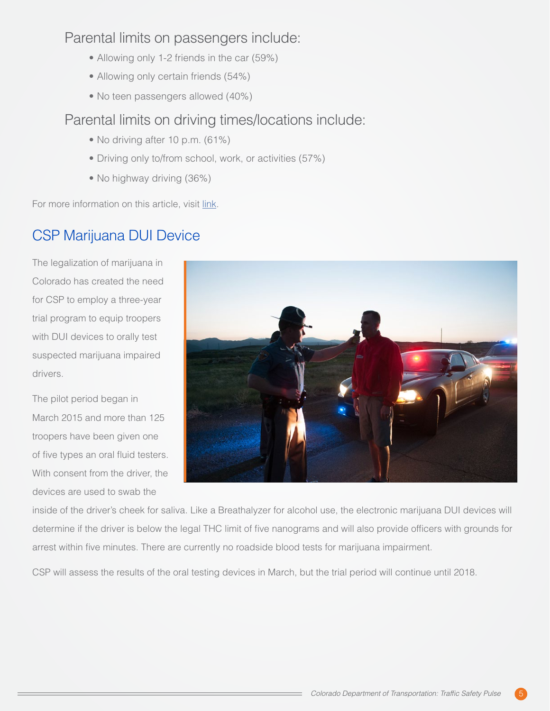Parental limits on passengers include:

- Allowing only 1-2 friends in the car (59%)
- Allowing only certain friends (54%)
- No teen passengers allowed (40%)

#### Parental limits on driving times/locations include:

- No driving after 10 p.m. (61%)
- Driving only to/from school, work, or activities (57%)
- No highway driving (36%)

For more information on this article, visit [link](http://www.teendrivingallianceco.com/2016/01/most-parents-say-they-set-limits-on.html?utm_source=feedburner&utm_medium=email&utm_campaign=Feed%3A+teendrivingallianceco%2FQyyZ+%28Colorado+Teen+Driving+Alliance%29).

## CSP Marijuana DUI Device

The legalization of marijuana in Colorado has created the need for CSP to employ a three-year trial program to equip troopers with DUI devices to orally test suspected marijuana impaired drivers.

The pilot period began in March 2015 and more than 125 troopers have been given one of five types an oral fluid testers. With consent from the driver, the devices are used to swab the



inside of the driver's cheek for saliva. Like a Breathalyzer for alcohol use, the electronic marijuana DUI devices will determine if the driver is below the legal THC limit of five nanograms and will also provide officers with grounds for arrest within five minutes. There are currently no roadside blood tests for marijuana impairment.

CSP will assess the results of the oral testing devices in March, but the trial period will continue until 2018.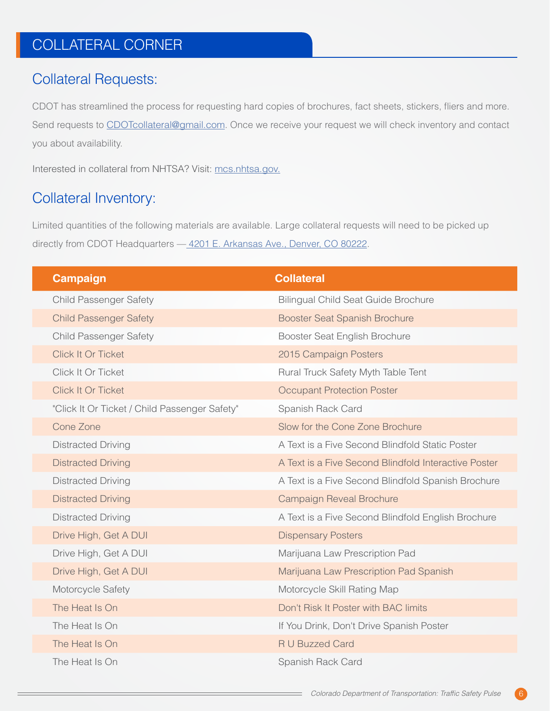# COLLATERAL CORNER

#### Collateral Requests:

CDOT has streamlined the process for requesting hard copies of brochures, fact sheets, stickers, fliers and more. Send requests to [CDOTcollateral@gmail.com](mailto:CDOTcollateral@gmail.com). Once we receive your request we will check inventory and contact you about availability.

Interested in collateral from NHTSA? Visit: [mcs.nhtsa.gov](http://mcs.nhtsa.gov).

#### Collateral Inventory:

Limited quantities of the following materials are available. Large collateral requests will need to be picked up directly from CDOT Headquarters - 4201 E. Arkansas Ave., Denver, CO 80222.

| <b>Campaign</b>                               | <b>Collateral</b>                                    |
|-----------------------------------------------|------------------------------------------------------|
| <b>Child Passenger Safety</b>                 | <b>Bilingual Child Seat Guide Brochure</b>           |
| <b>Child Passenger Safety</b>                 | <b>Booster Seat Spanish Brochure</b>                 |
| <b>Child Passenger Safety</b>                 | Booster Seat English Brochure                        |
| Click It Or Ticket                            | 2015 Campaign Posters                                |
| Click It Or Ticket                            | Rural Truck Safety Myth Table Tent                   |
| <b>Click It Or Ticket</b>                     | <b>Occupant Protection Poster</b>                    |
| "Click It Or Ticket / Child Passenger Safety" | Spanish Rack Card                                    |
| Cone Zone                                     | Slow for the Cone Zone Brochure                      |
| <b>Distracted Driving</b>                     | A Text is a Five Second Blindfold Static Poster      |
| <b>Distracted Driving</b>                     | A Text is a Five Second Blindfold Interactive Poster |
| <b>Distracted Driving</b>                     | A Text is a Five Second Blindfold Spanish Brochure   |
| <b>Distracted Driving</b>                     | Campaign Reveal Brochure                             |
| <b>Distracted Driving</b>                     | A Text is a Five Second Blindfold English Brochure   |
| Drive High, Get A DUI                         | <b>Dispensary Posters</b>                            |
| Drive High, Get A DUI                         | Marijuana Law Prescription Pad                       |
| Drive High, Get A DUI                         | Marijuana Law Prescription Pad Spanish               |
| Motorcycle Safety                             | Motorcycle Skill Rating Map                          |
| The Heat Is On                                | Don't Risk It Poster with BAC limits                 |
| The Heat Is On                                | If You Drink, Don't Drive Spanish Poster             |
| The Heat Is On                                | R U Buzzed Card                                      |
| The Heat Is On                                | Spanish Rack Card                                    |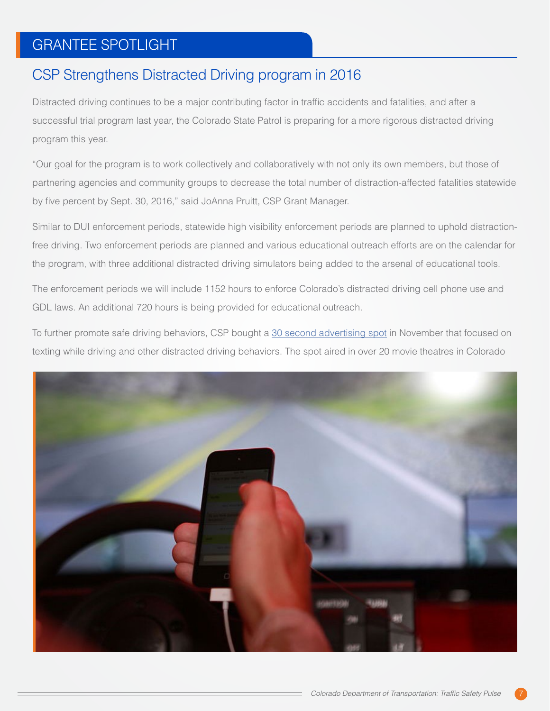## GRANTEE SPOTLIGHT

#### CSP Strengthens Distracted Driving program in 2016

Distracted driving continues to be a major contributing factor in traffic accidents and fatalities, and after a successful trial program last year, the Colorado State Patrol is preparing for a more rigorous distracted driving program this year.

"Our goal for the program is to work collectively and collaboratively with not only its own members, but those of partnering agencies and community groups to decrease the total number of distraction-affected fatalities statewide by five percent by Sept. 30, 2016," said JoAnna Pruitt, CSP Grant Manager.

Similar to DUI enforcement periods, statewide high visibility enforcement periods are planned to uphold distractionfree driving. Two enforcement periods are planned and various educational outreach efforts are on the calendar for the program, with three additional distracted driving simulators being added to the arsenal of educational tools.

The enforcement periods we will include 1152 hours to enforce Colorado's distracted driving cell phone use and GDL laws. An additional 720 hours is being provided for educational outreach.

To further promote safe driving behaviors, CSP bought a 3[0 second advertising spot](https://youtu.be/nWcxBaiZ8_w) in November that focused on texting while driving and other distracted driving behaviors. The spot aired in over 20 movie theatres in Colorado